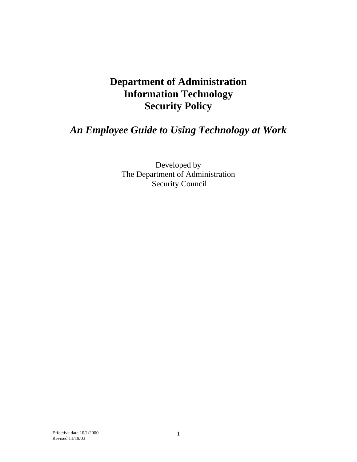# **Department of Administration Information Technology Security Policy**

# *An Employee Guide to Using Technology at Work*

Developed by The Department of Administration Security Council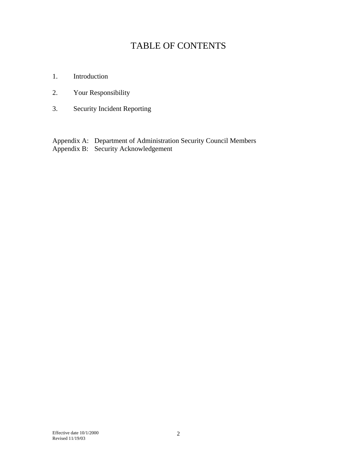# TABLE OF CONTENTS

- 1. Introduction
- 2. Your Responsibility
- 3. Security Incident Reporting

Appendix A: Department of Administration Security Council Members Appendix B: Security Acknowledgement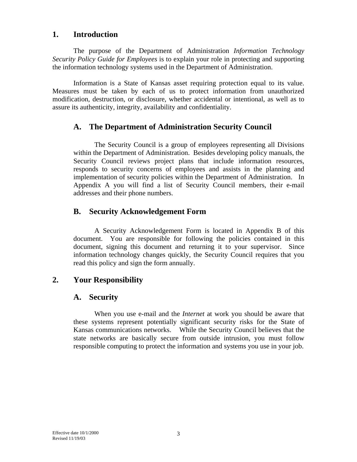#### **1. Introduction**

 The purpose of the Department of Administration *Information Technology Security Policy Guide for Employees* is to explain your role in protecting and supporting the information technology systems used in the Department of Administration.

 Information is a State of Kansas asset requiring protection equal to its value. Measures must be taken by each of us to protect information from unauthorized modification, destruction, or disclosure, whether accidental or intentional, as well as to assure its authenticity, integrity, availability and confidentiality.

# **A. The Department of Administration Security Council**

The Security Council is a group of employees representing all Divisions within the Department of Administration. Besides developing policy manuals, the Security Council reviews project plans that include information resources, responds to security concerns of employees and assists in the planning and implementation of security policies within the Department of Administration. In Appendix A you will find a list of Security Council members, their e-mail addresses and their phone numbers.

# **B. Security Acknowledgement Form**

A Security Acknowledgement Form is located in Appendix B of this document. You are responsible for following the policies contained in this document, signing this document and returning it to your supervisor. Since information technology changes quickly, the Security Council requires that you read this policy and sign the form annually.

# **2. Your Responsibility**

# **A. Security**

 When you use e-mail and the *Internet* at work you should be aware that these systems represent potentially significant security risks for the State of Kansas communications networks. While the Security Council believes that the state networks are basically secure from outside intrusion, you must follow responsible computing to protect the information and systems you use in your job.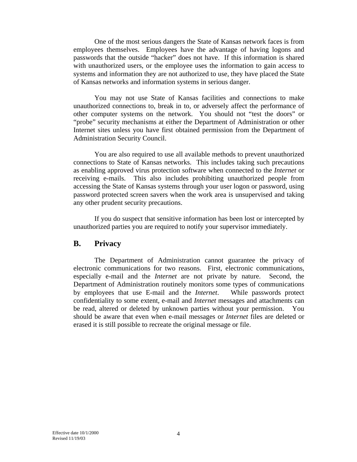One of the most serious dangers the State of Kansas network faces is from employees themselves. Employees have the advantage of having logons and passwords that the outside "hacker" does not have. If this information is shared with unauthorized users, or the employee uses the information to gain access to systems and information they are not authorized to use, they have placed the State of Kansas networks and information systems in serious danger.

 You may not use State of Kansas facilities and connections to make unauthorized connections to, break in to, or adversely affect the performance of other computer systems on the network. You should not "test the doors" or "probe" security mechanisms at either the Department of Administration or other Internet sites unless you have first obtained permission from the Department of Administration Security Council.

 You are also required to use all available methods to prevent unauthorized connections to State of Kansas networks. This includes taking such precautions as enabling approved virus protection software when connected to the *Internet* or receiving e-mails. This also includes prohibiting unauthorized people from accessing the State of Kansas systems through your user logon or password, using password protected screen savers when the work area is unsupervised and taking any other prudent security precautions.

 If you do suspect that sensitive information has been lost or intercepted by unauthorized parties you are required to notify your supervisor immediately.

#### **B. Privacy**

 The Department of Administration cannot guarantee the privacy of electronic communications for two reasons. First, electronic communications, especially e-mail and the *Internet* are not private by nature. Second, the Department of Administration routinely monitors some types of communications by employees that use E-mail and the *Internet*. While passwords protect confidentiality to some extent, e-mail and *Internet* messages and attachments can be read, altered or deleted by unknown parties without your permission. You should be aware that even when e-mail messages or *Internet* files are deleted or erased it is still possible to recreate the original message or file.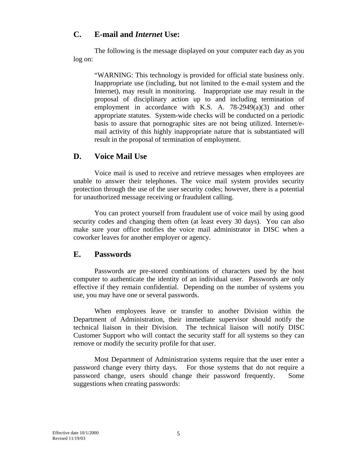### **C. E-mail and** *Internet* **Use:**

The following is the message displayed on your computer each day as you log on:

"WARNING: This technology is provided for official state business only. Inappropriate use (including, but not limited to the e-mail system and the Internet), may result in monitoring. Inappropriate use may result in the proposal of disciplinary action up to and including termination of employment in accordance with K.S. A. 78-2949(a)(3) and other appropriate statutes. System-wide checks will be conducted on a periodic basis to assure that pornographic sites are not being utilized. Internet/email activity of this highly inappropriate nature that is substantiated will result in the proposal of termination of employment.

# **D. Voice Mail Use**

 Voice mail is used to receive and retrieve messages when employees are unable to answer their telephones. The voice mail system provides security protection through the use of the user security codes; however, there is a potential for unauthorized message receiving or fraudulent calling.

 You can protect yourself from fraudulent use of voice mail by using good security codes and changing them often (at least every 30 days). You can also make sure your office notifies the voice mail administrator in DISC when a coworker leaves for another employer or agency.

#### **E. Passwords**

 Passwords are pre-stored combinations of characters used by the host computer to authenticate the identity of an individual user. Passwords are only effective if they remain confidential. Depending on the number of systems you use, you may have one or several passwords.

 When employees leave or transfer to another Division within the Department of Administration, their immediate supervisor should notify the technical liaison in their Division. The technical liaison will notify DISC Customer Support who will contact the security staff for all systems so they can remove or modify the security profile for that user.

 Most Department of Administration systems require that the user enter a password change every thirty days. For those systems that do not require a password change, users should change their password frequently. Some suggestions when creating passwords: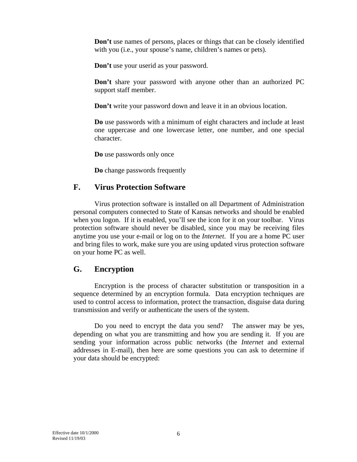**Don't** use names of persons, places or things that can be closely identified with you (i.e., your spouse's name, children's names or pets).

**Don't** use your userid as your password.

**Don't** share your password with anyone other than an authorized PC support staff member.

**Don't** write your password down and leave it in an obvious location.

**Do** use passwords with a minimum of eight characters and include at least one uppercase and one lowercase letter, one number, and one special character.

**Do** use passwords only once

**Do** change passwords frequently

### **F. Virus Protection Software**

 Virus protection software is installed on all Department of Administration personal computers connected to State of Kansas networks and should be enabled when you logon. If it is enabled, you'll see the icon for it on your toolbar. Virus protection software should never be disabled, since you may be receiving files anytime you use your e-mail or log on to the *Internet*. If you are a home PC user and bring files to work, make sure you are using updated virus protection software on your home PC as well.

# **G. Encryption**

 Encryption is the process of character substitution or transposition in a sequence determined by an encryption formula. Data encryption techniques are used to control access to information, protect the transaction, disguise data during transmission and verify or authenticate the users of the system.

 Do you need to encrypt the data you send? The answer may be yes, depending on what you are transmitting and how you are sending it. If you are sending your information across public networks (the *Internet* and external addresses in E-mail), then here are some questions you can ask to determine if your data should be encrypted: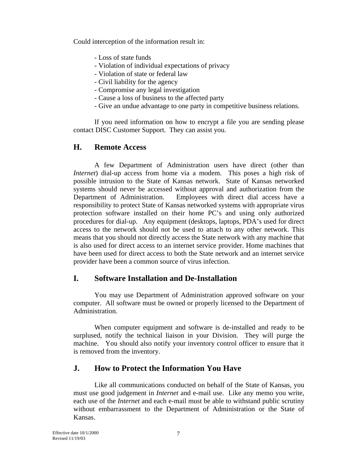Could interception of the information result in:

- Loss of state funds

- Violation of individual expectations of privacy
- Violation of state or federal law
- Civil liability for the agency
- Compromise any legal investigation
- Cause a loss of business to the affected party
- Give an undue advantage to one party in competitive business relations.

 If you need information on how to encrypt a file you are sending please contact DISC Customer Support. They can assist you.

# **H. Remote Access**

A few Department of Administration users have direct (other than *Internet*) dial-up access from home via a modem. This poses a high risk of possible intrusion to the State of Kansas network. State of Kansas networked systems should never be accessed without approval and authorization from the Department of Administration. Employees with direct dial access have a responsibility to protect State of Kansas networked systems with appropriate virus protection software installed on their home PC's and using only authorized procedures for dial-up. Any equipment (desktops, laptops, PDA's used for direct access to the network should not be used to attach to any other network. This means that you should not directly access the State network with any machine that is also used for direct access to an internet service provider. Home machines that have been used for direct access to both the State network and an internet service provider have been a common source of virus infection.

# **I. Software Installation and De-Installation**

 You may use Department of Administration approved software on your computer. All software must be owned or properly licensed to the Department of Administration.

 When computer equipment and software is de-installed and ready to be surplused, notify the technical liaison in your Division. They will purge the machine. You should also notify your inventory control officer to ensure that it is removed from the inventory.

# **J. How to Protect the Information You Have**

Like all communications conducted on behalf of the State of Kansas, you must use good judgement in *Internet* and e-mail use. Like any memo you write, each use of the *Internet* and each e-mail must be able to withstand public scrutiny without embarrassment to the Department of Administration or the State of Kansas.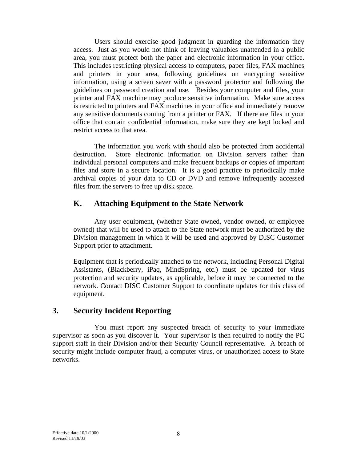Users should exercise good judgment in guarding the information they access. Just as you would not think of leaving valuables unattended in a public area, you must protect both the paper and electronic information in your office. This includes restricting physical access to computers, paper files, FAX machines and printers in your area, following guidelines on encrypting sensitive information, using a screen saver with a password protector and following the guidelines on password creation and use. Besides your computer and files, your printer and FAX machine may produce sensitive information. Make sure access is restricted to printers and FAX machines in your office and immediately remove any sensitive documents coming from a printer or FAX. If there are files in your office that contain confidential information, make sure they are kept locked and restrict access to that area.

 The information you work with should also be protected from accidental destruction. Store electronic information on Division servers rather than individual personal computers and make frequent backups or copies of important files and store in a secure location. It is a good practice to periodically make archival copies of your data to CD or DVD and remove infrequently accessed files from the servers to free up disk space.

#### **K. Attaching Equipment to the State Network**

Any user equipment, (whether State owned, vendor owned, or employee owned) that will be used to attach to the State network must be authorized by the Division management in which it will be used and approved by DISC Customer Support prior to attachment.

Equipment that is periodically attached to the network, including Personal Digital Assistants, (Blackberry, iPaq, MindSpring, etc.) must be updated for virus protection and security updates, as applicable, before it may be connected to the network. Contact DISC Customer Support to coordinate updates for this class of equipment.

#### **3. Security Incident Reporting**

 You must report any suspected breach of security to your immediate supervisor as soon as you discover it. Your supervisor is then required to notify the PC support staff in their Division and/or their Security Council representative. A breach of security might include computer fraud, a computer virus, or unauthorized access to State networks.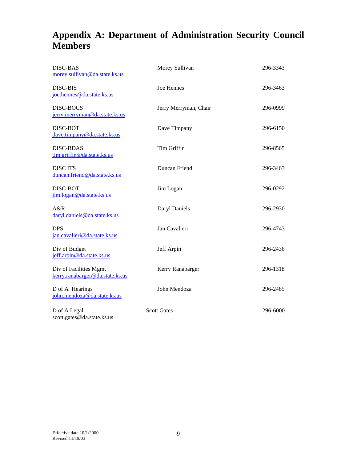# **Appendix A: Department of Administration Security Council Members**

| <b>DISC-BAS</b><br>morey.sullivan@da.state.ks.us          | Morey Sullivan        | 296-3343 |
|-----------------------------------------------------------|-----------------------|----------|
| <b>DISC-BIS</b><br>joe.hennes@da.state.ks.us              | Joe Hennes            | 296-3463 |
| <b>DISC-BOCS</b><br>jerry.merryman@da.state.ks.us         | Jerry Merryman, Chair | 296-0999 |
| DISC-BOT<br>dave.timpany@da.state.ks.us                   | Dave Timpany          | 296-6150 |
| <b>DISC-BDAS</b><br>tim.griffin@da.state.ks.us            | <b>Tim Griffin</b>    | 296-8565 |
| <b>DISCITS</b><br>duncan.friend@da.state.ks.us            | Duncan Friend         | 296-3463 |
| DISC-BOT<br>jim.logan@da.state.ks.us                      | Jim Logan             | 296-0292 |
| A&R<br>daryl.daniels@da.state.ks.us                       | Daryl Daniels         | 296-2930 |
| <b>DPS</b><br>jan.cavalieri@da.state.ks.us                | Jan Cavalieri         | 296-4743 |
| Div of Budget<br>jeff.arpin@da.state.ks.us                | Jeff Arpin            | 296-2436 |
| Div of Facilities Mgmt<br>kerry.ranabarger@da.state.ks.us | Kerry Ranabarger      | 296-1318 |
| D of A Hearings<br>john.mendoza@da.state.ks.us            | John Mendoza          | 296-2485 |
| D of A Legal<br>scott.gates@da.state.ks.us                | <b>Scott Gates</b>    | 296-6000 |